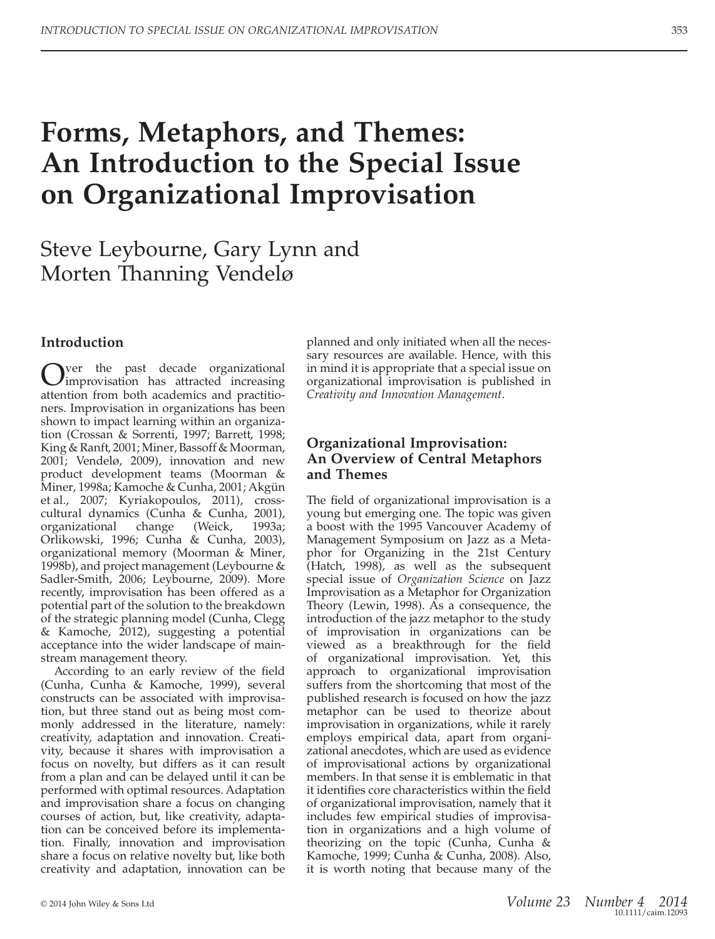# **Forms, Metaphors, and Themes: An Introduction to the Special Issue on Organizational Improvisation**

# Steve Leybourne, Gary Lynn and Morten Thanning Vendelø

### **Introduction**

Over the past decade organizational<br>
dimension has attracted increasing<br>
attention from both academics and practition attention from both academics and practitioners. Improvisation in organizations has been shown to impact learning within an organization (Crossan & Sorrenti, 1997; Barrett, 1998; King & Ranft, 2001; Miner, Bassoff & Moorman, 2001; Vendelø, 2009), innovation and new product development teams (Moorman & Miner, 1998a; Kamoche & Cunha, 2001; Akgün et al., 2007; Kyriakopoulos, 2011), crosscultural dynamics (Cunha & Cunha, 2001), organizational change (Weick, 1993a; Orlikowski, 1996; Cunha & Cunha, 2003), organizational memory (Moorman & Miner, 1998b), and project management (Leybourne & Sadler-Smith, 2006; Leybourne, 2009). More recently, improvisation has been offered as a potential part of the solution to the breakdown of the strategic planning model (Cunha, Clegg & Kamoche, 2012), suggesting a potential acceptance into the wider landscape of mainstream management theory.

According to an early review of the field (Cunha, Cunha & Kamoche, 1999), several constructs can be associated with improvisation, but three stand out as being most commonly addressed in the literature, namely: creativity, adaptation and innovation. Creativity, because it shares with improvisation a focus on novelty, but differs as it can result from a plan and can be delayed until it can be performed with optimal resources. Adaptation and improvisation share a focus on changing courses of action, but, like creativity, adaptation can be conceived before its implementation. Finally, innovation and improvisation share a focus on relative novelty but, like both creativity and adaptation, innovation can be

planned and only initiated when all the necessary resources are available. Hence, with this in mind it is appropriate that a special issue on organizational improvisation is published in *Creativity and Innovation Management*.

### **Organizational Improvisation: An Overview of Central Metaphors and Themes**

The field of organizational improvisation is a young but emerging one. The topic was given a boost with the 1995 Vancouver Academy of Management Symposium on Jazz as a Metaphor for Organizing in the 21st Century (Hatch, 1998), as well as the subsequent special issue of *Organization Science* on Jazz Improvisation as a Metaphor for Organization Theory (Lewin, 1998). As a consequence, the introduction of the jazz metaphor to the study of improvisation in organizations can be viewed as a breakthrough for the field of organizational improvisation. Yet, this approach to organizational improvisation suffers from the shortcoming that most of the published research is focused on how the jazz metaphor can be used to theorize about improvisation in organizations, while it rarely employs empirical data, apart from organizational anecdotes, which are used as evidence of improvisational actions by organizational members. In that sense it is emblematic in that it identifies core characteristics within the field of organizational improvisation, namely that it includes few empirical studies of improvisation in organizations and a high volume of theorizing on the topic (Cunha, Cunha & Kamoche, 1999; Cunha & Cunha, 2008). Also, it is worth noting that because many of the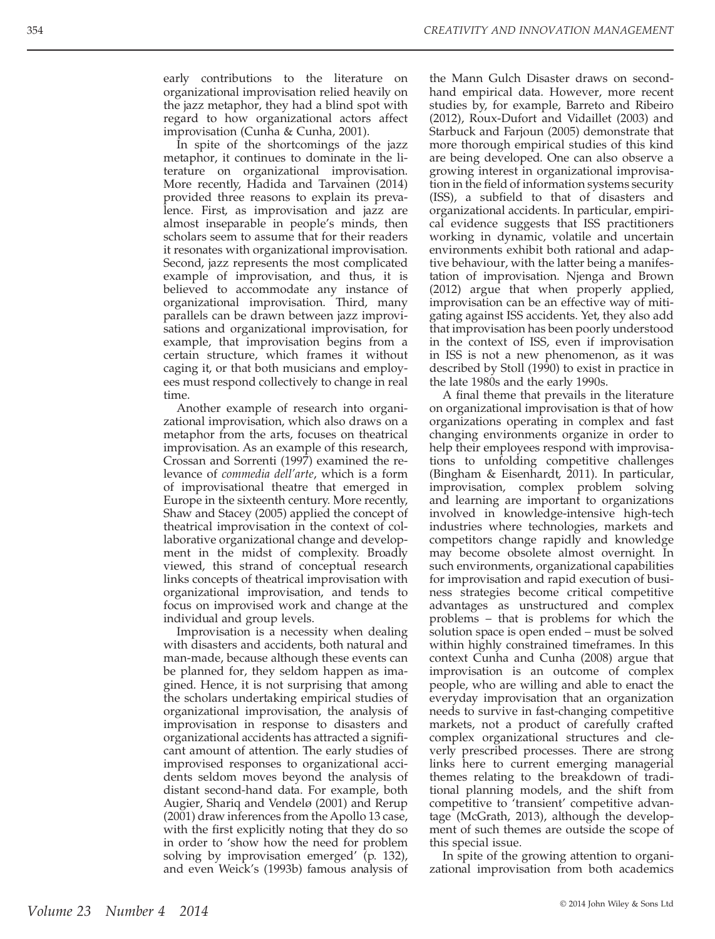early contributions to the literature on organizational improvisation relied heavily on the jazz metaphor, they had a blind spot with regard to how organizational actors affect improvisation (Cunha & Cunha, 2001).

In spite of the shortcomings of the jazz metaphor, it continues to dominate in the literature on organizational improvisation. More recently, Hadida and Tarvainen (2014) provided three reasons to explain its prevalence. First, as improvisation and jazz are almost inseparable in people's minds, then scholars seem to assume that for their readers it resonates with organizational improvisation. Second, jazz represents the most complicated example of improvisation, and thus, it is believed to accommodate any instance of organizational improvisation. Third, many parallels can be drawn between jazz improvisations and organizational improvisation, for example, that improvisation begins from a certain structure, which frames it without caging it, or that both musicians and employees must respond collectively to change in real time.

Another example of research into organizational improvisation, which also draws on a metaphor from the arts, focuses on theatrical improvisation. As an example of this research, Crossan and Sorrenti (1997) examined the relevance of *commedia dell'arte*, which is a form of improvisational theatre that emerged in Europe in the sixteenth century. More recently, Shaw and Stacey (2005) applied the concept of theatrical improvisation in the context of collaborative organizational change and development in the midst of complexity. Broadly viewed, this strand of conceptual research links concepts of theatrical improvisation with organizational improvisation, and tends to focus on improvised work and change at the individual and group levels.

Improvisation is a necessity when dealing with disasters and accidents, both natural and man-made, because although these events can be planned for, they seldom happen as imagined. Hence, it is not surprising that among the scholars undertaking empirical studies of organizational improvisation, the analysis of improvisation in response to disasters and organizational accidents has attracted a significant amount of attention. The early studies of improvised responses to organizational accidents seldom moves beyond the analysis of distant second-hand data. For example, both Augier, Shariq and Vendelø (2001) and Rerup (2001) draw inferences from the Apollo 13 case, with the first explicitly noting that they do so in order to 'show how the need for problem solving by improvisation emerged' (p. 132), and even Weick's (1993b) famous analysis of the Mann Gulch Disaster draws on secondhand empirical data. However, more recent studies by, for example, Barreto and Ribeiro (2012), Roux-Dufort and Vidaillet (2003) and Starbuck and Farjoun (2005) demonstrate that more thorough empirical studies of this kind are being developed. One can also observe a growing interest in organizational improvisation in the field of information systems security (ISS), a subfield to that of disasters and organizational accidents. In particular, empirical evidence suggests that ISS practitioners working in dynamic, volatile and uncertain environments exhibit both rational and adaptive behaviour, with the latter being a manifestation of improvisation. Njenga and Brown (2012) argue that when properly applied, improvisation can be an effective way of mitigating against ISS accidents. Yet, they also add that improvisation has been poorly understood in the context of ISS, even if improvisation in ISS is not a new phenomenon, as it was described by Stoll (1990) to exist in practice in the late 1980s and the early 1990s.

A final theme that prevails in the literature on organizational improvisation is that of how organizations operating in complex and fast changing environments organize in order to help their employees respond with improvisations to unfolding competitive challenges (Bingham & Eisenhardt, 2011). In particular, improvisation, complex problem solving and learning are important to organizations involved in knowledge-intensive high-tech industries where technologies, markets and competitors change rapidly and knowledge may become obsolete almost overnight. In such environments, organizational capabilities for improvisation and rapid execution of business strategies become critical competitive advantages as unstructured and complex problems – that is problems for which the solution space is open ended – must be solved within highly constrained timeframes. In this context Cunha and Cunha (2008) argue that improvisation is an outcome of complex people, who are willing and able to enact the everyday improvisation that an organization needs to survive in fast-changing competitive markets, not a product of carefully crafted complex organizational structures and cleverly prescribed processes. There are strong links here to current emerging managerial themes relating to the breakdown of traditional planning models, and the shift from competitive to 'transient' competitive advantage (McGrath, 2013), although the development of such themes are outside the scope of this special issue.

In spite of the growing attention to organizational improvisation from both academics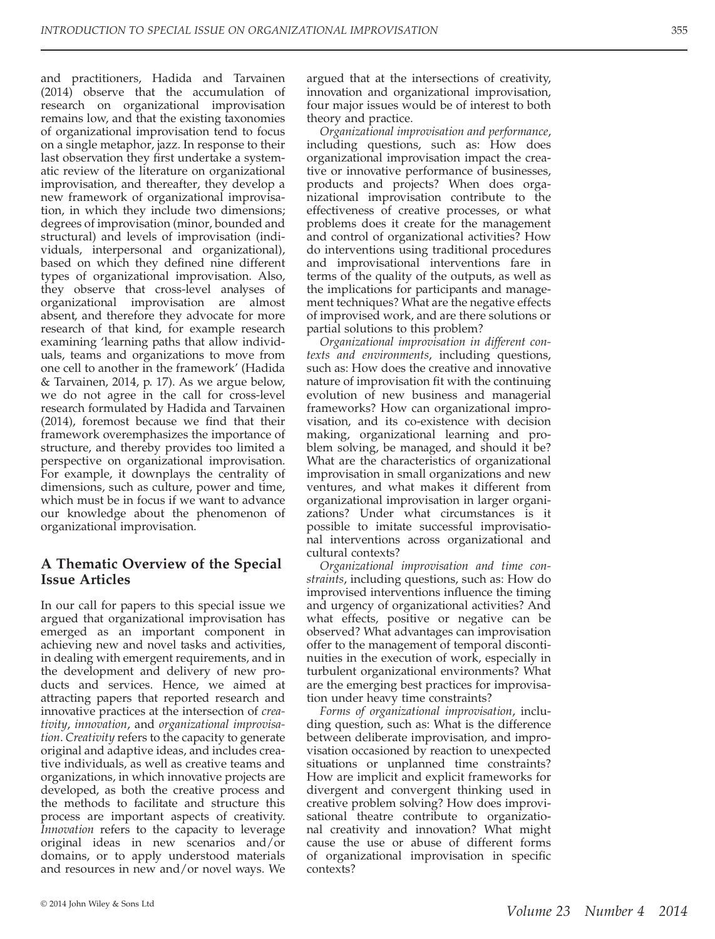and practitioners, Hadida and Tarvainen (2014) observe that the accumulation of research on organizational improvisation remains low, and that the existing taxonomies of organizational improvisation tend to focus on a single metaphor, jazz. In response to their last observation they first undertake a systematic review of the literature on organizational improvisation, and thereafter, they develop a new framework of organizational improvisation, in which they include two dimensions; degrees of improvisation (minor, bounded and structural) and levels of improvisation (individuals, interpersonal and organizational), based on which they defined nine different types of organizational improvisation. Also, they observe that cross-level analyses of organizational improvisation are almost absent, and therefore they advocate for more research of that kind, for example research examining 'learning paths that allow individuals, teams and organizations to move from one cell to another in the framework' (Hadida & Tarvainen, 2014, p. 17). As we argue below, we do not agree in the call for cross-level research formulated by Hadida and Tarvainen (2014), foremost because we find that their framework overemphasizes the importance of structure, and thereby provides too limited a perspective on organizational improvisation. For example, it downplays the centrality of dimensions, such as culture, power and time, which must be in focus if we want to advance our knowledge about the phenomenon of organizational improvisation.

## **A Thematic Overview of the Special Issue Articles**

In our call for papers to this special issue we argued that organizational improvisation has emerged as an important component in achieving new and novel tasks and activities, in dealing with emergent requirements, and in the development and delivery of new products and services. Hence, we aimed at attracting papers that reported research and innovative practices at the intersection of *creativity*, *innovation*, and *organizational improvisation*. *Creativity* refers to the capacity to generate original and adaptive ideas, and includes creative individuals, as well as creative teams and organizations, in which innovative projects are developed, as both the creative process and the methods to facilitate and structure this process are important aspects of creativity. *Innovation* refers to the capacity to leverage original ideas in new scenarios and/or domains, or to apply understood materials and resources in new and/or novel ways. We

argued that at the intersections of creativity, innovation and organizational improvisation, four major issues would be of interest to both theory and practice.

*Organizational improvisation and performance*, including questions, such as: How does organizational improvisation impact the creative or innovative performance of businesses, products and projects? When does organizational improvisation contribute to the effectiveness of creative processes, or what problems does it create for the management and control of organizational activities? How do interventions using traditional procedures and improvisational interventions fare in terms of the quality of the outputs, as well as the implications for participants and management techniques? What are the negative effects of improvised work, and are there solutions or partial solutions to this problem?

*Organizational improvisation in different contexts and environments*, including questions, such as: How does the creative and innovative nature of improvisation fit with the continuing evolution of new business and managerial frameworks? How can organizational improvisation, and its co-existence with decision making, organizational learning and problem solving, be managed, and should it be? What are the characteristics of organizational improvisation in small organizations and new ventures, and what makes it different from organizational improvisation in larger organizations? Under what circumstances is it possible to imitate successful improvisational interventions across organizational and cultural contexts?

*Organizational improvisation and time constraints*, including questions, such as: How do improvised interventions influence the timing and urgency of organizational activities? And what effects, positive or negative can be observed? What advantages can improvisation offer to the management of temporal discontinuities in the execution of work, especially in turbulent organizational environments? What are the emerging best practices for improvisation under heavy time constraints?

*Forms of organizational improvisation*, including question, such as: What is the difference between deliberate improvisation, and improvisation occasioned by reaction to unexpected situations or unplanned time constraints? How are implicit and explicit frameworks for divergent and convergent thinking used in creative problem solving? How does improvisational theatre contribute to organizational creativity and innovation? What might cause the use or abuse of different forms of organizational improvisation in specific contexts?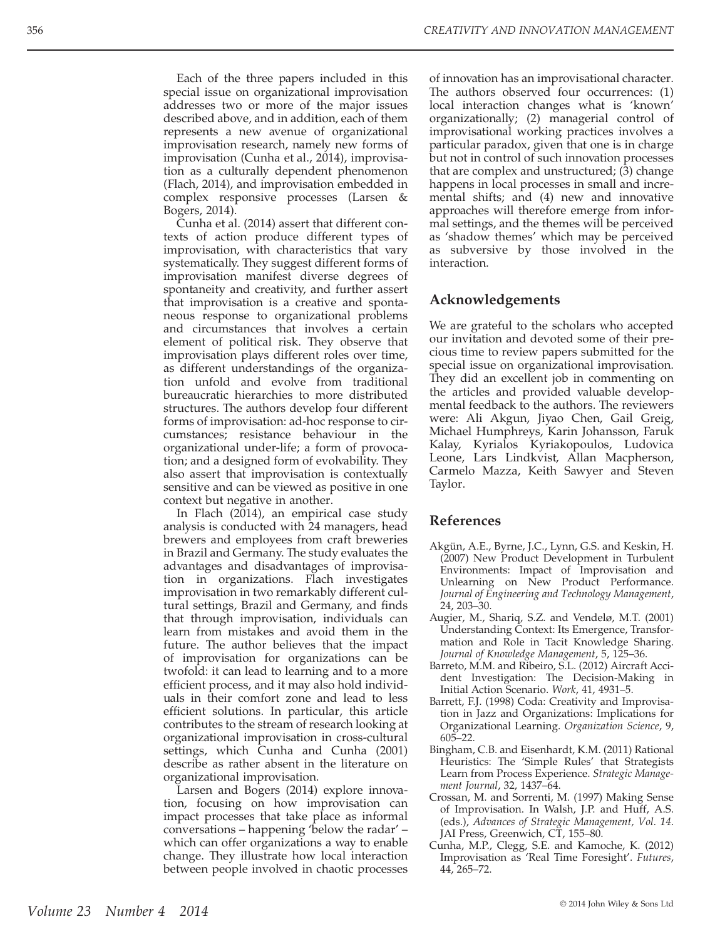Each of the three papers included in this special issue on organizational improvisation addresses two or more of the major issues described above, and in addition, each of them represents a new avenue of organizational improvisation research, namely new forms of improvisation (Cunha et al., 2014), improvisation as a culturally dependent phenomenon (Flach, 2014), and improvisation embedded in complex responsive processes (Larsen & Bogers, 2014).

Cunha et al. (2014) assert that different contexts of action produce different types of improvisation, with characteristics that vary systematically. They suggest different forms of improvisation manifest diverse degrees of spontaneity and creativity, and further assert that improvisation is a creative and spontaneous response to organizational problems and circumstances that involves a certain element of political risk. They observe that improvisation plays different roles over time, as different understandings of the organization unfold and evolve from traditional bureaucratic hierarchies to more distributed structures. The authors develop four different forms of improvisation: ad-hoc response to circumstances; resistance behaviour in the organizational under-life; a form of provocation; and a designed form of evolvability. They also assert that improvisation is contextually sensitive and can be viewed as positive in one context but negative in another.

In Flach (2014), an empirical case study analysis is conducted with 24 managers, head brewers and employees from craft breweries in Brazil and Germany. The study evaluates the advantages and disadvantages of improvisation in organizations. Flach investigates improvisation in two remarkably different cultural settings, Brazil and Germany, and finds that through improvisation, individuals can learn from mistakes and avoid them in the future. The author believes that the impact of improvisation for organizations can be twofold: it can lead to learning and to a more efficient process, and it may also hold individuals in their comfort zone and lead to less efficient solutions. In particular, this article contributes to the stream of research looking at organizational improvisation in cross-cultural settings, which Cunha and Cunha (2001) describe as rather absent in the literature on organizational improvisation.

Larsen and Bogers (2014) explore innovation, focusing on how improvisation can impact processes that take place as informal conversations – happening 'below the radar' – which can offer organizations a way to enable change. They illustrate how local interaction between people involved in chaotic processes

of innovation has an improvisational character. The authors observed four occurrences: (1) local interaction changes what is 'known' organizationally; (2) managerial control of improvisational working practices involves a particular paradox, given that one is in charge but not in control of such innovation processes that are complex and unstructured; (3) change happens in local processes in small and incremental shifts; and (4) new and innovative approaches will therefore emerge from informal settings, and the themes will be perceived as 'shadow themes' which may be perceived as subversive by those involved in the interaction.

#### **Acknowledgements**

We are grateful to the scholars who accepted our invitation and devoted some of their precious time to review papers submitted for the special issue on organizational improvisation. They did an excellent job in commenting on the articles and provided valuable developmental feedback to the authors. The reviewers were: Ali Akgun, Jiyao Chen, Gail Greig, Michael Humphreys, Karin Johansson, Faruk Kalay, Kyrialos Kyriakopoulos, Ludovica Leone, Lars Lindkvist, Allan Macpherson, Carmelo Mazza, Keith Sawyer and Steven Taylor.

#### **References**

- Akgün, A.E., Byrne, J.C., Lynn, G.S. and Keskin, H. (2007) New Product Development in Turbulent Environments: Impact of Improvisation and Unlearning on New Product Performance. *Journal of Engineering and Technology Management*, 24, 203–30.
- Augier, M., Shariq, S.Z. and Vendelø, M.T. (2001) Understanding Context: Its Emergence, Transformation and Role in Tacit Knowledge Sharing. *Journal of Knowledge Management*, 5, 125–36.
- Barreto, M.M. and Ribeiro, S.L. (2012) Aircraft Accident Investigation: The Decision-Making in Initial Action Scenario. *Work*, 41, 4931–5.
- Barrett, F.J. (1998) Coda: Creativity and Improvisation in Jazz and Organizations: Implications for Organizational Learning. *Organization Science*, 9, 605–22.
- Bingham, C.B. and Eisenhardt, K.M. (2011) Rational Heuristics: The 'Simple Rules' that Strategists Learn from Process Experience. *Strategic Management Journal*, 32, 1437–64.
- Crossan, M. and Sorrenti, M. (1997) Making Sense of Improvisation. In Walsh, J.P. and Huff, A.S. (eds.), *Advances of Strategic Management, Vol. 14*. JAI Press, Greenwich, CT, 155–80.
- Cunha, M.P., Clegg, S.E. and Kamoche, K. (2012) Improvisation as 'Real Time Foresight'. *Futures*, 44, 265–72.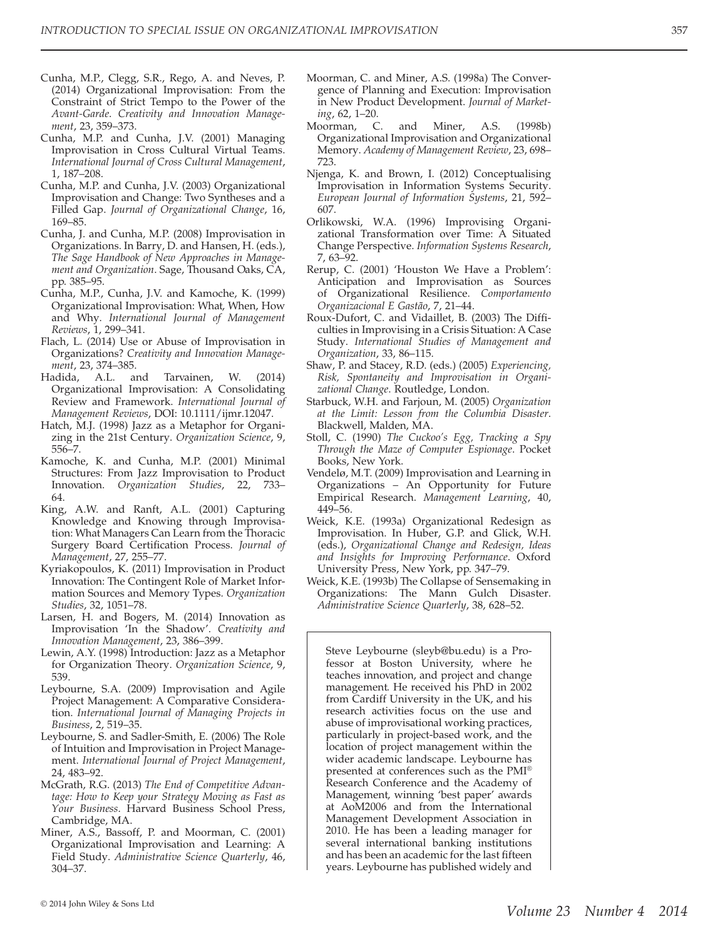- Cunha, M.P., Clegg, S.R., Rego, A. and Neves, P. (2014) Organizational Improvisation: From the Constraint of Strict Tempo to the Power of the *Avant-Garde*. *Creativity and Innovation Management*, 23, 359–373.
- Cunha, M.P. and Cunha, J.V. (2001) Managing Improvisation in Cross Cultural Virtual Teams. *International Journal of Cross Cultural Management*, 1, 187–208.
- Cunha, M.P. and Cunha, J.V. (2003) Organizational Improvisation and Change: Two Syntheses and a Filled Gap. *Journal of Organizational Change*, 16, 169–85.
- Cunha, J. and Cunha, M.P. (2008) Improvisation in Organizations. In Barry, D. and Hansen, H. (eds.), *The Sage Handbook of New Approaches in Management and Organization*. Sage, Thousand Oaks, CA, pp. 385–95.
- Cunha, M.P., Cunha, J.V. and Kamoche, K. (1999) Organizational Improvisation: What, When, How and Why. *International Journal of Management Reviews*, 1, 299–341.
- Flach, L. (2014) Use or Abuse of Improvisation in Organizations? *Creativity and Innovation Management*, 23, 374–385.
- and Tarvainen, W. (2014) Organizational Improvisation: A Consolidating Review and Framework. *International Journal of Management Reviews*, DOI: 10.1111/ijmr.12047.
- Hatch, M.J. (1998) Jazz as a Metaphor for Organizing in the 21st Century. *Organization Science*, 9, 556–7.
- Kamoche, K. and Cunha, M.P. (2001) Minimal Structures: From Jazz Improvisation to Product Innovation. *Organization Studies*, 22, 733– 64.
- King, A.W. and Ranft, A.L. (2001) Capturing Knowledge and Knowing through Improvisation: What Managers Can Learn from the Thoracic Surgery Board Certification Process. *Journal of Management*, 27, 255–77.
- Kyriakopoulos, K. (2011) Improvisation in Product Innovation: The Contingent Role of Market Information Sources and Memory Types. *Organization Studies*, 32, 1051–78.
- Larsen, H. and Bogers, M. (2014) Innovation as Improvisation 'In the Shadow'. *Creativity and Innovation Management*, 23, 386–399.
- Lewin, A.Y. (1998) Introduction: Jazz as a Metaphor for Organization Theory. *Organization Science*, 9, 539.
- Leybourne, S.A. (2009) Improvisation and Agile Project Management: A Comparative Consideration. *International Journal of Managing Projects in Business*, 2, 519–35.
- Leybourne, S. and Sadler-Smith, E. (2006) The Role of Intuition and Improvisation in Project Management. *International Journal of Project Management*, 24, 483–92.
- McGrath, R.G. (2013) *The End of Competitive Advantage: How to Keep your Strategy Moving as Fast as Your Business*. Harvard Business School Press, Cambridge, MA.
- Miner, A.S., Bassoff, P. and Moorman, C. (2001) Organizational Improvisation and Learning: A Field Study. *Administrative Science Quarterly*, 46, 304–37.
- Moorman, C. and Miner, A.S. (1998a) The Convergence of Planning and Execution: Improvisation in New Product Development. *Journal of Marketing*, 62, 1–20.
- Moorman, C. and Miner, A.S. (1998b) Organizational Improvisation and Organizational Memory. *Academy of Management Review*, 23, 698– 723.
- Njenga, K. and Brown, I. (2012) Conceptualising Improvisation in Information Systems Security. *European Journal of Information Systems*, 21, 592– 607.
- Orlikowski, W.A. (1996) Improvising Organizational Transformation over Time: A Situated Change Perspective. *Information Systems Research*, 7, 63–92.
- Rerup, C. (2001) 'Houston We Have a Problem': Anticipation and Improvisation as Sources of Organizational Resilience. *Comportamento Organizacional E Gastão*, 7, 21–44.
- Roux-Dufort, C. and Vidaillet, B. (2003) The Difficulties in Improvising in a Crisis Situation: A Case Study. *International Studies of Management and Organization*, 33, 86–115.
- Shaw, P. and Stacey, R.D. (eds.) (2005) *Experiencing, Risk, Spontaneity and Improvisation in Organizational Change*. Routledge, London.
- Starbuck, W.H. and Farjoun, M. (2005) *Organization at the Limit: Lesson from the Columbia Disaster*. Blackwell, Malden, MA.
- Stoll, C. (1990) *The Cuckoo's Egg, Tracking a Spy Through the Maze of Computer Espionage*. Pocket Books, New York.
- Vendelø, M.T. (2009) Improvisation and Learning in Organizations – An Opportunity for Future Empirical Research. *Management Learning*, 40, 449–56.
- Weick, K.E. (1993a) Organizational Redesign as Improvisation. In Huber, G.P. and Glick, W.H. (eds.), *Organizational Change and Redesign, Ideas and Insights for Improving Performance*. Oxford University Press, New York, pp. 347–79.
- Weick, K.E. (1993b) The Collapse of Sensemaking in Organizations: The Mann Gulch Disaster. *Administrative Science Quarterly*, 38, 628–52.

Steve Leybourne (sleyb@bu.edu) is a Professor at Boston University, where he teaches innovation, and project and change management. He received his PhD in 2002 from Cardiff University in the UK, and his research activities focus on the use and abuse of improvisational working practices, particularly in project-based work, and the location of project management within the wider academic landscape. Leybourne has presented at conferences such as the PMI® Research Conference and the Academy of Management, winning 'best paper' awards at AoM2006 and from the International Management Development Association in 2010. He has been a leading manager for several international banking institutions and has been an academic for the last fifteen years. Leybourne has published widely and